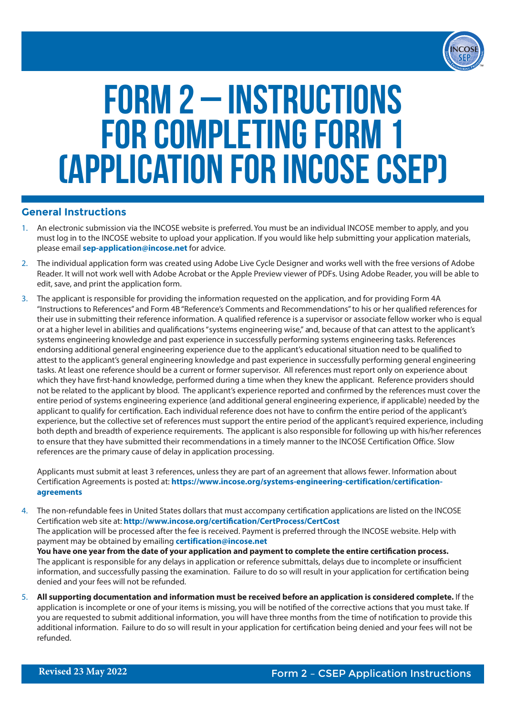

# FORM 2 – INSTRUCTIONS FOR COMPLETING FORM 1 (Application for INCOSE CSEP)

## **General Instructions**

- 1. An electronic submission via the INCOSE website is preferred. You must be an individual INCOSE member to apply, and you must log in to the INCOSE website to upload your application. If you would like help submitting your application materials, please email **sep-application@incose.net** for advice.
- 2. The individual application form was created using Adobe Live Cycle Designer and works well with the free versions of Adobe Reader. It will not work well with Adobe Acrobat or the Apple Preview viewer of PDFs. Using Adobe Reader, you will be able to edit, save, and print the application form.
- 3. The applicant is responsible for providing the information requested on the application, and for providing Form 4A "Instructions to References" and Form 4B "Reference's Comments and Recommendations" to his or her qualified references for their use in submitting their reference information. A qualified reference is a supervisor or associate fellow worker who is equal or at a higher level in abilities and qualifications "systems engineering wise," and, because of that can attest to the applicant's systems engineering knowledge and past experience in successfully performing systems engineering tasks. References endorsing additional general engineering experience due to the applicant's educational situation need to be qualified to attest to the applicant's general engineering knowledge and past experience in successfully performing general engineering tasks. At least one reference should be a current or former supervisor. All references must report only on experience about which they have first-hand knowledge, performed during a time when they knew the applicant. Reference providers should not be related to the applicant by blood. The applicant's experience reported and confirmed by the references must cover the entire period of systems engineering experience (and additional general engineering experience, if applicable) needed by the applicant to qualify for certification. Each individual reference does not have to confirm the entire period of the applicant's experience, but the collective set of references must support the entire period of the applicant's required experience, including both depth and breadth of experience requirements. The applicant is also responsible for following up with his/her references to ensure that they have submitted their recommendations in a timely manner to the INCOSE Certification Office. Slow references are the primary cause of delay in application processing.

Applicants must submit at least 3 references, unless they are part of an agreement that allows fewer. Information about Certification Agreements is posted at: **https://www.incose.org/systems-engineering-certification/certificationagreements**

- 4. The non-refundable fees in United States dollars that must accompany certification applications are listed on the INCOSE Certification web site at: **http://www.incose.org/certification/CertProcess/CertCost** The application will be processed after the fee is received. Payment is preferred through the INCOSE website. Help with payment may be obtained by emailing **certification@incose.net You have one year from the date of your application and payment to complete the entire certification process.** The applicant is responsible for any delays in application or reference submittals, delays due to incomplete or insufficient information, and successfully passing the examination. Failure to do so will result in your application for certification being denied and your fees will not be refunded.
- 5. **All supporting documentation and information must be received before an application is considered complete.** If the application is incomplete or one of your items is missing, you will be notified of the corrective actions that you must take. If you are requested to submit additional information, you will have three months from the time of notification to provide this additional information. Failure to do so will result in your application for certification being denied and your fees will not be refunded.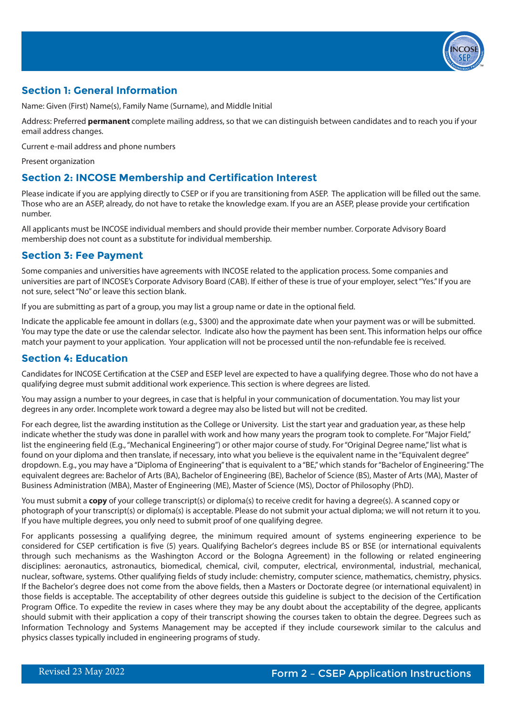

## **Section 1: General Information**

Name: Given (First) Name(s), Family Name (Surname), and Middle Initial

Address: Preferred **permanent** complete mailing address, so that we can distinguish between candidates and to reach you if your email address changes.

Current e-mail address and phone numbers

Present organization

## **Section 2: INCOSE Membership and Certification Interest**

Please indicate if you are applying directly to CSEP or if you are transitioning from ASEP. The application will be filled out the same. Those who are an ASEP, already, do not have to retake the knowledge exam. If you are an ASEP, please provide your certification number.

All applicants must be INCOSE individual members and should provide their member number. Corporate Advisory Board membership does not count as a substitute for individual membership.

## **Section 3: Fee Payment**

Some companies and universities have agreements with INCOSE related to the application process. Some companies and universities are part of INCOSE's Corporate Advisory Board (CAB). If either of these is true of your employer, select "Yes." If you are not sure, select "No" or leave this section blank.

If you are submitting as part of a group, you may list a group name or date in the optional field.

Indicate the applicable fee amount in dollars (e.g., \$300) and the approximate date when your payment was or will be submitted. You may type the date or use the calendar selector. Indicate also how the payment has been sent. This information helps our office match your payment to your application. Your application will not be processed until the non-refundable fee is received.

## **Section 4: Education**

Candidates for INCOSE Certification at the CSEP and ESEP level are expected to have a qualifying degree. Those who do not have a qualifying degree must submit additional work experience. This section is where degrees are listed.

You may assign a number to your degrees, in case that is helpful in your communication of documentation. You may list your degrees in any order. Incomplete work toward a degree may also be listed but will not be credited.

For each degree, list the awarding institution as the College or University. List the start year and graduation year, as these help indicate whether the study was done in parallel with work and how many years the program took to complete. For "Major Field," list the engineering field (E.g., "Mechanical Engineering") or other major course of study. For "Original Degree name," list what is found on your diploma and then translate, if necessary, into what you believe is the equivalent name in the "Equivalent degree" dropdown. E.g., you may have a "Diploma of Engineering" that is equivalent to a "BE," which stands for "Bachelor of Engineering." The equivalent degrees are: Bachelor of Arts (BA), Bachelor of Engineering (BE), Bachelor of Science (BS), Master of Arts (MA), Master of Business Administration (MBA), Master of Engineering (ME), Master of Science (MS), Doctor of Philosophy (PhD).

You must submit a **copy** of your college transcript(s) or diploma(s) to receive credit for having a degree(s). A scanned copy or photograph of your transcript(s) or diploma(s) is acceptable. Please do not submit your actual diploma; we will not return it to you. If you have multiple degrees, you only need to submit proof of one qualifying degree.

For applicants possessing a qualifying degree, the minimum required amount of systems engineering experience to be considered for CSEP certification is five (5) years. Qualifying Bachelor's degrees include BS or BSE (or international equivalents through such mechanisms as the Washington Accord or the Bologna Agreement) in the following or related engineering disciplines: aeronautics, astronautics, biomedical, chemical, civil, computer, electrical, environmental, industrial, mechanical, nuclear, software, systems. Other qualifying fields of study include: chemistry, computer science, mathematics, chemistry, physics. If the Bachelor's degree does not come from the above fields, then a Masters or Doctorate degree (or international equivalent) in those fields is acceptable. The acceptability of other degrees outside this guideline is subject to the decision of the Certification Program Office. To expedite the review in cases where they may be any doubt about the acceptability of the degree, applicants should submit with their application a copy of their transcript showing the courses taken to obtain the degree. Degrees such as Information Technology and Systems Management may be accepted if they include coursework similar to the calculus and physics classes typically included in engineering programs of study.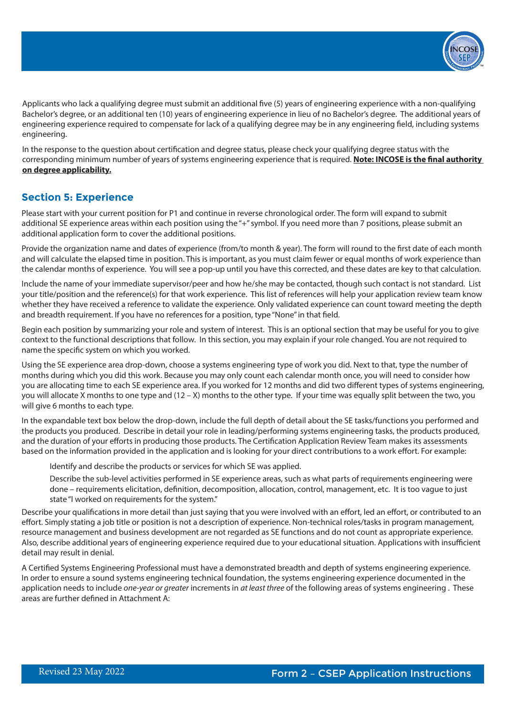

Applicants who lack a qualifying degree must submit an additional five (5) years of engineering experience with a non-qualifying Bachelor's degree, or an additional ten (10) years of engineering experience in lieu of no Bachelor's degree. The additional years of engineering experience required to compensate for lack of a qualifying degree may be in any engineering field, including systems engineering.

In the response to the question about certification and degree status, please check your qualifying degree status with the corresponding minimum number of years of systems engineering experience that is required. **Note: INCOSE is the final authority on degree applicability.**

#### **Section 5: Experience**

Please start with your current position for P1 and continue in reverse chronological order. The form will expand to submit additional SE experience areas within each position using the "+" symbol. If you need more than 7 positions, please submit an additional application form to cover the additional positions.

Provide the organization name and dates of experience (from/to month & year). The form will round to the first date of each month and will calculate the elapsed time in position. This is important, as you must claim fewer or equal months of work experience than the calendar months of experience. You will see a pop-up until you have this corrected, and these dates are key to that calculation.

Include the name of your immediate supervisor/peer and how he/she may be contacted, though such contact is not standard. List your title/position and the reference(s) for that work experience. This list of references will help your application review team know whether they have received a reference to validate the experience. Only validated experience can count toward meeting the depth and breadth requirement. If you have no references for a position, type "None" in that field.

Begin each position by summarizing your role and system of interest. This is an optional section that may be useful for you to give context to the functional descriptions that follow. In this section, you may explain if your role changed. You are not required to name the specific system on which you worked.

Using the SE experience area drop-down, choose a systems engineering type of work you did. Next to that, type the number of months during which you did this work. Because you may only count each calendar month once, you will need to consider how you are allocating time to each SE experience area. If you worked for 12 months and did two different types of systems engineering, you will allocate X months to one type and (12 – X) months to the other type. If your time was equally split between the two, you will give 6 months to each type.

In the expandable text box below the drop-down, include the full depth of detail about the SE tasks/functions you performed and the products you produced. Describe in detail your role in leading/performing systems engineering tasks, the products produced, and the duration of your efforts in producing those products. The Certification Application Review Team makes its assessments based on the information provided in the application and is looking for your direct contributions to a work effort. For example:

Identify and describe the products or services for which SE was applied.

Describe the sub-level activities performed in SE experience areas, such as what parts of requirements engineering were done – requirements elicitation, definition, decomposition, allocation, control, management, etc. It is too vague to just state "I worked on requirements for the system."

Describe your qualifications in more detail than just saying that you were involved with an effort, led an effort, or contributed to an effort. Simply stating a job title or position is not a description of experience. Non-technical roles/tasks in program management, resource management and business development are not regarded as SE functions and do not count as appropriate experience. Also, describe additional years of engineering experience required due to your educational situation. Applications with insufficient detail may result in denial.

A Certified Systems Engineering Professional must have a demonstrated breadth and depth of systems engineering experience. In order to ensure a sound systems engineering technical foundation, the systems engineering experience documented in the application needs to include *one-year or greater* increments in *at least three* of the following areas of systems engineering . These areas are further defined in Attachment A: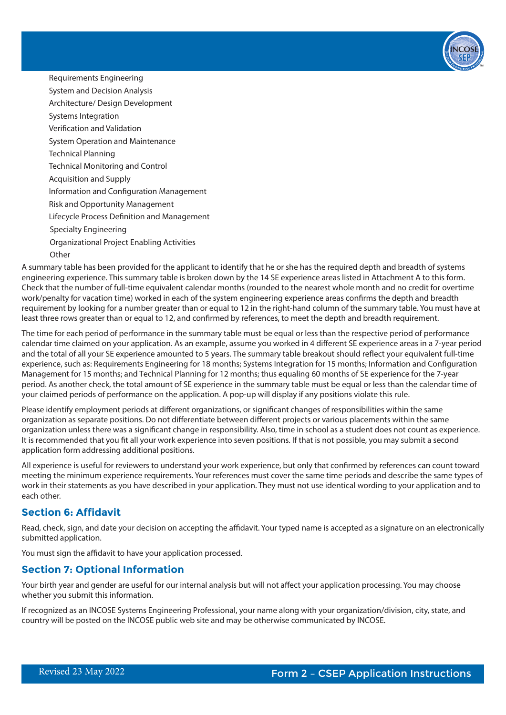

Specialty Engineering Organizational Project Enabling Activities **Other** Requirements Engineering System and Decision Analysis Architecture/ Design Development Systems Integration Verification and Validation System Operation and Maintenance Technical Planning Technical Monitoring and Control Acquisition and Supply Information and Configuration Management Risk and Opportunity Management Lifecycle Process Definition and Management

A summary table has been provided for the applicant to identify that he or she has the required depth and breadth of systems engineering experience. This summary table is broken down by the 14 SE experience areas listed in Attachment A to this form. Check that the number of full-time equivalent calendar months (rounded to the nearest whole month and no credit for overtime work/penalty for vacation time) worked in each of the system engineering experience areas confirms the depth and breadth requirement by looking for a number greater than or equal to 12 in the right-hand column of the summary table. You must have at least three rows greater than or equal to 12, and confirmed by references, to meet the depth and breadth requirement.

The time for each period of performance in the summary table must be equal or less than the respective period of performance calendar time claimed on your application. As an example, assume you worked in 4 different SE experience areas in a 7-year period and the total of all your SE experience amounted to 5 years. The summary table breakout should reflect your equivalent full-time experience, such as: Requirements Engineering for 18 months; Systems Integration for 15 months; Information and Configuration Management for 15 months; and Technical Planning for 12 months; thus equaling 60 months of SE experience for the 7-year period. As another check, the total amount of SE experience in the summary table must be equal or less than the calendar time of your claimed periods of performance on the application. A pop-up will display if any positions violate this rule.

Please identify employment periods at different organizations, or significant changes of responsibilities within the same organization as separate positions. Do not differentiate between different projects or various placements within the same organization unless there was a significant change in responsibility. Also, time in school as a student does not count as experience. It is recommended that you fit all your work experience into seven positions. If that is not possible, you may submit a second application form addressing additional positions.

All experience is useful for reviewers to understand your work experience, but only that confirmed by references can count toward meeting the minimum experience requirements. Your references must cover the same time periods and describe the same types of work in their statements as you have described in your application. They must not use identical wording to your application and to each other.

## **Section 6: Affidavit**

Read, check, sign, and date your decision on accepting the affidavit. Your typed name is accepted as a signature on an electronically submitted application.

You must sign the affidavit to have your application processed.

## **Section 7: Optional Information**

Your birth year and gender are useful for our internal analysis but will not affect your application processing. You may choose whether you submit this information.

If recognized as an INCOSE Systems Engineering Professional, your name along with your organization/division, city, state, and country will be posted on the INCOSE public web site and may be otherwise communicated by INCOSE.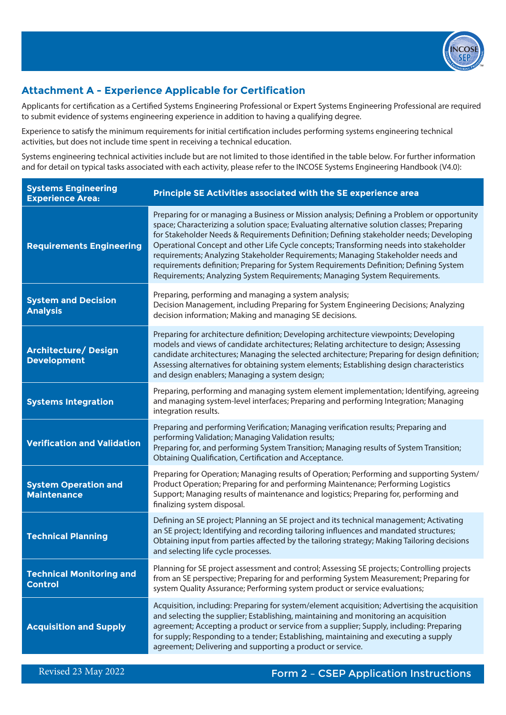

# **Attachment A - Experience Applicable for Certification**

Applicants for certification as a Certified Systems Engineering Professional or Expert Systems Engineering Professional are required to submit evidence of systems engineering experience in addition to having a qualifying degree.

Experience to satisfy the minimum requirements for initial certification includes performing systems engineering technical activities, but does not include time spent in receiving a technical education.

Systems engineering technical activities include but are not limited to those identified in the table below. For further information and for detail on typical tasks associated with each activity, please refer to the INCOSE Systems Engineering Handbook (V4.0):

| <b>Systems Engineering</b><br><b>Experience Area:</b> | Principle SE Activities associated with the SE experience area                                                                                                                                                                                                                                                                                                                                                                                                                                                                                                                                                                             |
|-------------------------------------------------------|--------------------------------------------------------------------------------------------------------------------------------------------------------------------------------------------------------------------------------------------------------------------------------------------------------------------------------------------------------------------------------------------------------------------------------------------------------------------------------------------------------------------------------------------------------------------------------------------------------------------------------------------|
| <b>Requirements Engineering</b>                       | Preparing for or managing a Business or Mission analysis; Defining a Problem or opportunity<br>space; Characterizing a solution space; Evaluating alternative solution classes; Preparing<br>for Stakeholder Needs & Requirements Definition; Defining stakeholder needs; Developing<br>Operational Concept and other Life Cycle concepts; Transforming needs into stakeholder<br>requirements; Analyzing Stakeholder Requirements; Managing Stakeholder needs and<br>requirements definition; Preparing for System Requirements Definition; Defining System<br>Requirements; Analyzing System Requirements; Managing System Requirements. |
| <b>System and Decision</b><br><b>Analysis</b>         | Preparing, performing and managing a system analysis;<br>Decision Management, including Preparing for System Engineering Decisions; Analyzing<br>decision information; Making and managing SE decisions.                                                                                                                                                                                                                                                                                                                                                                                                                                   |
| Architecture/ Design<br><b>Development</b>            | Preparing for architecture definition; Developing architecture viewpoints; Developing<br>models and views of candidate architectures; Relating architecture to design; Assessing<br>candidate architectures; Managing the selected architecture; Preparing for design definition;<br>Assessing alternatives for obtaining system elements; Establishing design characteristics<br>and design enablers; Managing a system design;                                                                                                                                                                                                           |
| <b>Systems Integration</b>                            | Preparing, performing and managing system element implementation; Identifying, agreeing<br>and managing system-level interfaces; Preparing and performing Integration; Managing<br>integration results.                                                                                                                                                                                                                                                                                                                                                                                                                                    |
| <b>Verification and Validation</b>                    | Preparing and performing Verification; Managing verification results; Preparing and<br>performing Validation; Managing Validation results;<br>Preparing for, and performing System Transition; Managing results of System Transition;<br>Obtaining Qualification, Certification and Acceptance.                                                                                                                                                                                                                                                                                                                                            |
| <b>System Operation and</b><br><b>Maintenance</b>     | Preparing for Operation; Managing results of Operation; Performing and supporting System/<br>Product Operation; Preparing for and performing Maintenance; Performing Logistics<br>Support; Managing results of maintenance and logistics; Preparing for, performing and<br>finalizing system disposal.                                                                                                                                                                                                                                                                                                                                     |
| <b>Technical Planning</b>                             | Defining an SE project; Planning an SE project and its technical management; Activating<br>an SE project; Identifying and recording tailoring influences and mandated structures;<br>Obtaining input from parties affected by the tailoring strategy; Making Tailoring decisions<br>and selecting life cycle processes.                                                                                                                                                                                                                                                                                                                    |
| <b>Technical Monitoring and</b><br><b>Control</b>     | Planning for SE project assessment and control; Assessing SE projects; Controlling projects<br>from an SE perspective; Preparing for and performing System Measurement; Preparing for<br>system Quality Assurance; Performing system product or service evaluations;                                                                                                                                                                                                                                                                                                                                                                       |
| <b>Acquisition and Supply</b>                         | Acquisition, including: Preparing for system/element acquisition; Advertising the acquisition<br>and selecting the supplier; Establishing, maintaining and monitoring an acquisition<br>agreement; Accepting a product or service from a supplier; Supply, including: Preparing<br>for supply; Responding to a tender; Establishing, maintaining and executing a supply<br>agreement; Delivering and supporting a product or service.                                                                                                                                                                                                      |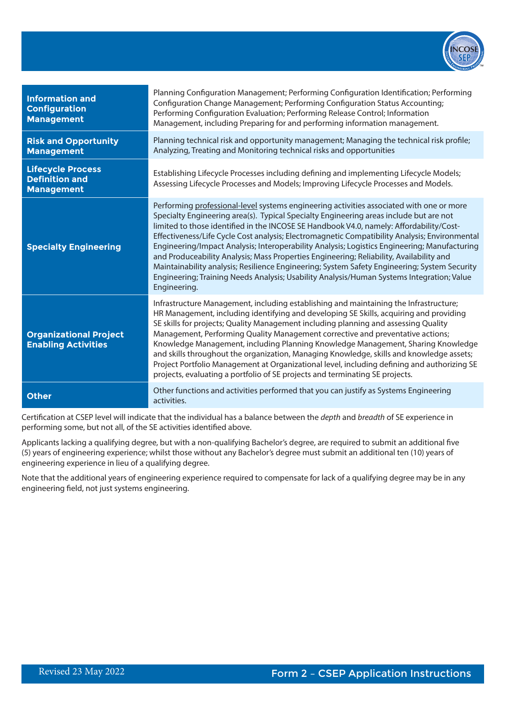

| <b>Information and</b><br><b>Configuration</b><br><b>Management</b>    | Planning Configuration Management; Performing Configuration Identification; Performing<br>Configuration Change Management; Performing Configuration Status Accounting;<br>Performing Configuration Evaluation; Performing Release Control; Information<br>Management, including Preparing for and performing information management.                                                                                                                                                                                                                                                                                                                                                                                                                                                   |
|------------------------------------------------------------------------|----------------------------------------------------------------------------------------------------------------------------------------------------------------------------------------------------------------------------------------------------------------------------------------------------------------------------------------------------------------------------------------------------------------------------------------------------------------------------------------------------------------------------------------------------------------------------------------------------------------------------------------------------------------------------------------------------------------------------------------------------------------------------------------|
| <b>Risk and Opportunity</b><br><b>Management</b>                       | Planning technical risk and opportunity management; Managing the technical risk profile;<br>Analyzing, Treating and Monitoring technical risks and opportunities                                                                                                                                                                                                                                                                                                                                                                                                                                                                                                                                                                                                                       |
| <b>Lifecycle Process</b><br><b>Definition and</b><br><b>Management</b> | Establishing Lifecycle Processes including defining and implementing Lifecycle Models;<br>Assessing Lifecycle Processes and Models; Improving Lifecycle Processes and Models.                                                                                                                                                                                                                                                                                                                                                                                                                                                                                                                                                                                                          |
| <b>Specialty Engineering</b>                                           | Performing professional-level systems engineering activities associated with one or more<br>Specialty Engineering area(s). Typical Specialty Engineering areas include but are not<br>limited to those identified in the INCOSE SE Handbook V4.0, namely: Affordability/Cost-<br>Effectiveness/Life Cycle Cost analysis; Electromagnetic Compatibility Analysis; Environmental<br>Engineering/Impact Analysis; Interoperability Analysis; Logistics Engineering; Manufacturing<br>and Produceability Analysis; Mass Properties Engineering; Reliability, Availability and<br>Maintainability analysis; Resilience Engineering; System Safety Engineering; System Security<br>Engineering; Training Needs Analysis; Usability Analysis/Human Systems Integration; Value<br>Engineering. |
| <b>Organizational Project</b><br><b>Enabling Activities</b>            | Infrastructure Management, including establishing and maintaining the Infrastructure;<br>HR Management, including identifying and developing SE Skills, acquiring and providing<br>SE skills for projects; Quality Management including planning and assessing Quality<br>Management, Performing Quality Management corrective and preventative actions;<br>Knowledge Management, including Planning Knowledge Management, Sharing Knowledge<br>and skills throughout the organization, Managing Knowledge, skills and knowledge assets;<br>Project Portfolio Management at Organizational level, including defining and authorizing SE<br>projects, evaluating a portfolio of SE projects and terminating SE projects.                                                                |
| <b>Other</b>                                                           | Other functions and activities performed that you can justify as Systems Engineering<br>activities.                                                                                                                                                                                                                                                                                                                                                                                                                                                                                                                                                                                                                                                                                    |

Certification at CSEP level will indicate that the individual has a balance between the *depth* and *breadth* of SE experience in performing some, but not all, of the SE activities identified above.

Applicants lacking a qualifying degree, but with a non-qualifying Bachelor's degree, are required to submit an additional five (5) years of engineering experience; whilst those without any Bachelor's degree must submit an additional ten (10) years of engineering experience in lieu of a qualifying degree.

Note that the additional years of engineering experience required to compensate for lack of a qualifying degree may be in any engineering field, not just systems engineering.